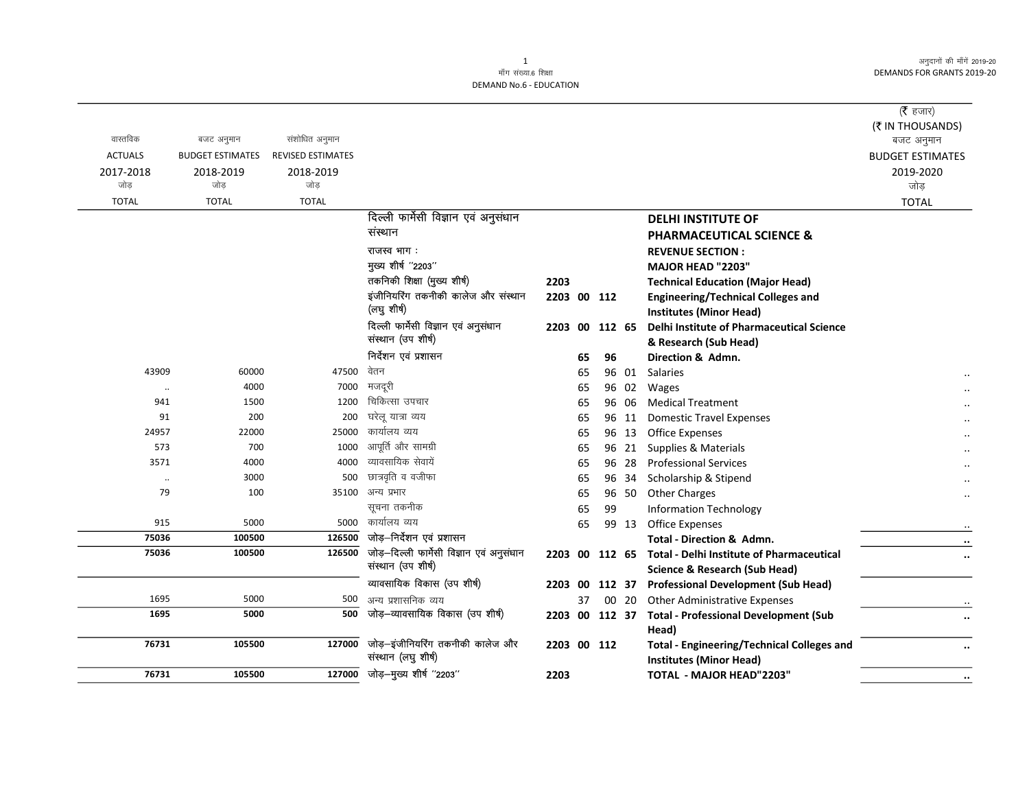अनुदानों की माँगें 2019-20 **DEMANDS FOR GRANTS 2019-20** 

| वास्तविक<br><b>ACTUALS</b><br>2017-2018<br>जोड़ | बजट अनुमान<br><b>BUDGET ESTIMATES</b><br>2018-2019<br>जोड | संशोधित अनुमान<br>REVISED ESTIMATES<br>2018-2019<br>जोड़ |                                                                |                |    |        |       |                                                                                             | ( $\bar{\tau}$ हजार)<br>(₹ IN THOUSANDS)<br>बजट अनुमान<br><b>BUDGET ESTIMATES</b><br>2019-2020<br>जोड़ |
|-------------------------------------------------|-----------------------------------------------------------|----------------------------------------------------------|----------------------------------------------------------------|----------------|----|--------|-------|---------------------------------------------------------------------------------------------|--------------------------------------------------------------------------------------------------------|
| <b>TOTAL</b>                                    | <b>TOTAL</b>                                              | <b>TOTAL</b>                                             |                                                                |                |    |        |       |                                                                                             | <b>TOTAL</b>                                                                                           |
|                                                 |                                                           |                                                          | दिल्ली फार्मेसी विज्ञान एवं अनुसंधान<br>संस्थान<br>राजस्व भाग: |                |    |        |       | <b>DELHI INSTITUTE OF</b><br><b>PHARMACEUTICAL SCIENCE &amp;</b><br><b>REVENUE SECTION:</b> |                                                                                                        |
|                                                 |                                                           |                                                          | मुख्य शीर्ष "2203"                                             |                |    |        |       | MAJOR HEAD "2203"                                                                           |                                                                                                        |
|                                                 |                                                           |                                                          | तकनिकी शिक्षा (मुख्य शीर्ष)                                    | 2203           |    |        |       | <b>Technical Education (Major Head)</b>                                                     |                                                                                                        |
|                                                 |                                                           |                                                          | इंजीनियरिंग तकनीकी कालेज और संस्थान<br>(लघु शीर्ष)             | 2203 00 112    |    |        |       | <b>Engineering/Technical Colleges and</b><br><b>Institutes (Minor Head)</b>                 |                                                                                                        |
|                                                 |                                                           |                                                          | दिल्ली फार्मेसी विज्ञान एवं अनुसंधान<br>संस्थान (उप शीर्ष)     |                |    |        |       | 2203 00 112 65 Delhi Institute of Pharmaceutical Science<br>& Research (Sub Head)           |                                                                                                        |
|                                                 |                                                           |                                                          | निर्देशन एवं प्रशासन                                           |                | 65 | 96     |       | Direction & Admn.                                                                           |                                                                                                        |
| 43909                                           | 60000                                                     | 47500                                                    | वेतन                                                           |                | 65 |        |       | 96 01 Salaries                                                                              |                                                                                                        |
| $\ddot{\phantom{0}}$                            | 4000                                                      | 7000                                                     | मजदूरी                                                         |                | 65 |        | 96 02 | Wages                                                                                       |                                                                                                        |
| 941                                             | 1500                                                      | 1200                                                     | चिकित्सा उपचार                                                 |                | 65 |        | 96 06 | <b>Medical Treatment</b>                                                                    |                                                                                                        |
| 91                                              | 200                                                       | 200                                                      | घरेलू यात्रा व्यय                                              |                | 65 |        | 96 11 | <b>Domestic Travel Expenses</b>                                                             |                                                                                                        |
| 24957                                           | 22000                                                     | 25000                                                    | कार्यालय व्यय                                                  |                | 65 |        | 96 13 | <b>Office Expenses</b>                                                                      |                                                                                                        |
| 573                                             | 700                                                       | 1000                                                     | आपूर्ति और सामग्री                                             |                | 65 |        | 96 21 | Supplies & Materials                                                                        |                                                                                                        |
| 3571                                            | 4000                                                      | 4000                                                     | व्यावसायिक सेवायें                                             |                | 65 |        | 96 28 | <b>Professional Services</b>                                                                |                                                                                                        |
| $\ddotsc$                                       | 3000                                                      | 500                                                      | छात्रवृति व वजीफा                                              |                | 65 |        | 96 34 | Scholarship & Stipend                                                                       |                                                                                                        |
| 79                                              | 100                                                       | 35100                                                    | अन्य प्रभार                                                    |                | 65 |        |       | 96 50 Other Charges                                                                         |                                                                                                        |
|                                                 |                                                           |                                                          | सूचना तकनीक                                                    |                | 65 | 99     |       | <b>Information Technology</b>                                                               |                                                                                                        |
| 915                                             | 5000                                                      | 5000                                                     | कार्यालय व्यय                                                  |                | 65 |        | 99 13 | <b>Office Expenses</b>                                                                      | $\cdot\cdot$                                                                                           |
| 75036                                           | 100500                                                    | 126500                                                   | जोड़–निर्देशन एवं प्रशासन                                      |                |    |        |       | Total - Direction & Admn.                                                                   | $\cdot \cdot$                                                                                          |
| 75036                                           | 100500                                                    | 126500                                                   | जोड़-दिल्ली फार्मेसी विज्ञान एवं अनुसंधान                      | 2203 00 112 65 |    |        |       | <b>Total - Delhi Institute of Pharmaceutical</b>                                            | $\ddot{\phantom{0}}$                                                                                   |
|                                                 |                                                           |                                                          | संस्थान (उप शीर्ष)                                             |                |    |        |       | <b>Science &amp; Research (Sub Head)</b>                                                    |                                                                                                        |
|                                                 |                                                           |                                                          | व्यावसायिक विकास (उप शीर्ष)                                    | 2203 00        |    | 112 37 |       | <b>Professional Development (Sub Head)</b>                                                  |                                                                                                        |
| 1695                                            | 5000                                                      | 500                                                      | अन्य प्रशासनिक व्यय                                            |                | 37 |        | 00 20 | <b>Other Administrative Expenses</b>                                                        |                                                                                                        |
| 1695                                            | 5000                                                      | 500                                                      | जोड़–व्यावसायिक विकास (उप शीर्ष)                               |                |    |        |       | 2203 00 112 37 Total - Professional Development (Sub<br>Head)                               |                                                                                                        |
| 76731                                           | 105500                                                    | 127000                                                   | जोड़-इंजीनियरिंग तकनीकी कालेज और<br>संस्थान (लघु शीर्ष)        | 2203 00 112    |    |        |       | <b>Total - Engineering/Technical Colleges and</b><br><b>Institutes (Minor Head)</b>         |                                                                                                        |
| 76731                                           | 105500                                                    | 127000                                                   | जोड़-मुख्य शीर्ष "2203"                                        | 2203           |    |        |       | <b>TOTAL - MAJOR HEAD"2203"</b>                                                             | $\cdots$                                                                                               |